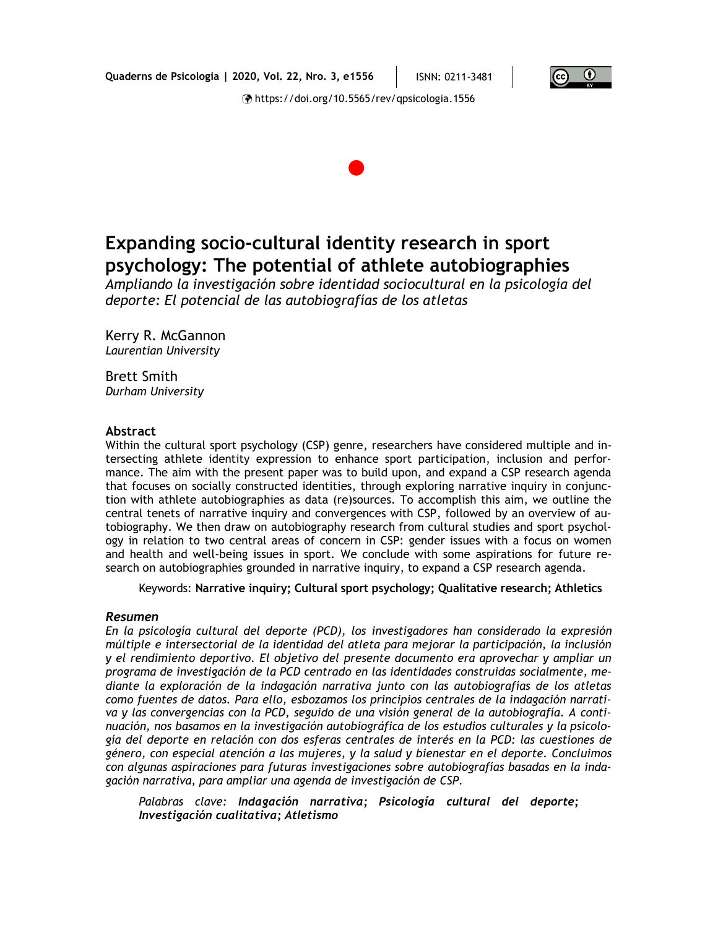



*Ampliando la investigación sobre identidad sociocultural en la psicología del deporte: El potencial de las autobiografías de los atletas*

Kerry R. McGannon *Laurentian University*

Brett Smith *Durham University*

#### **Abstract**

Within the cultural sport psychology (CSP) genre, researchers have considered multiple and intersecting athlete identity expression to enhance sport participation, inclusion and performance. The aim with the present paper was to build upon, and expand a CSP research agenda that focuses on socially constructed identities, through exploring narrative inquiry in conjunction with athlete autobiographies as data (re)sources. To accomplish this aim, we outline the central tenets of narrative inquiry and convergences with CSP, followed by an overview of autobiography. We then draw on autobiography research from cultural studies and sport psychology in relation to two central areas of concern in CSP: gender issues with a focus on women and health and well-being issues in sport. We conclude with some aspirations for future research on autobiographies grounded in narrative inquiry, to expand a CSP research agenda.

Keywords: **Narrative inquiry; Cultural sport psychology; Qualitative research; Athletics**

#### *Resumen*

*En la psicología cultural del deporte (PCD), los investigadores han considerado la expresión múltiple e intersectorial de la identidad del atleta para mejorar la participación, la inclusión y el rendimiento deportivo. El objetivo del presente documento era aprovechar y ampliar un programa de investigación de la PCD centrado en las identidades construidas socialmente, mediante la exploración de la indagación narrativa junto con las autobiografías de los atletas como fuentes de datos. Para ello, esbozamos los principios centrales de la indagación narrativa y las convergencias con la PCD, seguido de una visión general de la autobiografía. A continuación, nos basamos en la investigación autobiográfica de los estudios culturales y la psicología del deporte en relación con dos esferas centrales de interés en la PCD: las cuestiones de género, con especial atención a las mujeres, y la salud y bienestar en el deporte. Concluimos con algunas aspiraciones para futuras investigaciones sobre autobiografías basadas en la indagación narrativa, para ampliar una agenda de investigación de CSP.*

*Palabras clave: Indagación narrativa; Psicología cultural del deporte; Investigación cualitativa; Atletismo*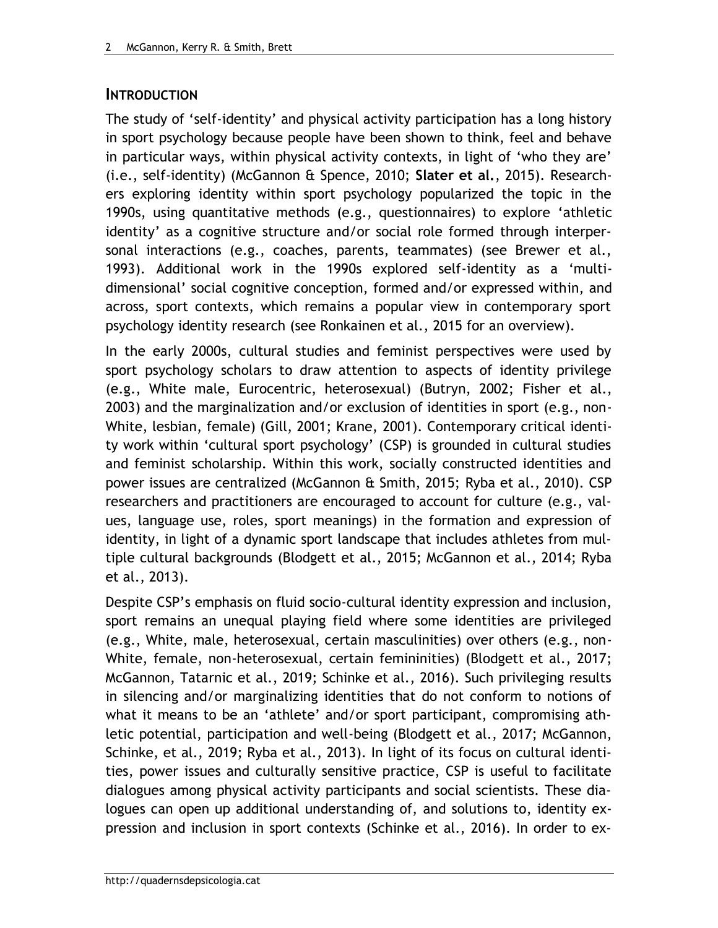### **INTRODUCTION**

The study of 'self-identity' and physical activity participation has a long history in sport psychology because people have been shown to think, feel and behave in particular ways, within physical activity contexts, in light of 'who they are' (i.e., self-identity) (McGannon & Spence, 2010; **Slater et al.**, 2015). Researchers exploring identity within sport psychology popularized the topic in the 1990s, using quantitative methods (e.g., questionnaires) to explore 'athletic identity' as a cognitive structure and/or social role formed through interpersonal interactions (e.g., coaches, parents, teammates) (see Brewer et al., 1993). Additional work in the 1990s explored self-identity as a 'multidimensional' social cognitive conception, formed and/or expressed within, and across, sport contexts, which remains a popular view in contemporary sport psychology identity research (see Ronkainen et al., 2015 for an overview).

In the early 2000s, cultural studies and feminist perspectives were used by sport psychology scholars to draw attention to aspects of identity privilege (e.g., White male, Eurocentric, heterosexual) (Butryn, 2002; Fisher et al., 2003) and the marginalization and/or exclusion of identities in sport (e.g., non-White, lesbian, female) (Gill, 2001; Krane, 2001). Contemporary critical identity work within 'cultural sport psychology' (CSP) is grounded in cultural studies and feminist scholarship. Within this work, socially constructed identities and power issues are centralized (McGannon & Smith, 2015; Ryba et al., 2010). CSP researchers and practitioners are encouraged to account for culture (e.g., values, language use, roles, sport meanings) in the formation and expression of identity, in light of a dynamic sport landscape that includes athletes from multiple cultural backgrounds (Blodgett et al., 2015; McGannon et al., 2014; Ryba et al., 2013).

Despite CSP's emphasis on fluid socio-cultural identity expression and inclusion, sport remains an unequal playing field where some identities are privileged (e.g., White, male, heterosexual, certain masculinities) over others (e.g., non-White, female, non-heterosexual, certain femininities) (Blodgett et al., 2017; McGannon, Tatarnic et al., 2019; Schinke et al., 2016). Such privileging results in silencing and/or marginalizing identities that do not conform to notions of what it means to be an 'athlete' and/or sport participant, compromising athletic potential, participation and well-being (Blodgett et al., 2017; McGannon, Schinke, et al., 2019; Ryba et al., 2013). In light of its focus on cultural identities, power issues and culturally sensitive practice, CSP is useful to facilitate dialogues among physical activity participants and social scientists. These dialogues can open up additional understanding of, and solutions to, identity expression and inclusion in sport contexts (Schinke et al., 2016). In order to ex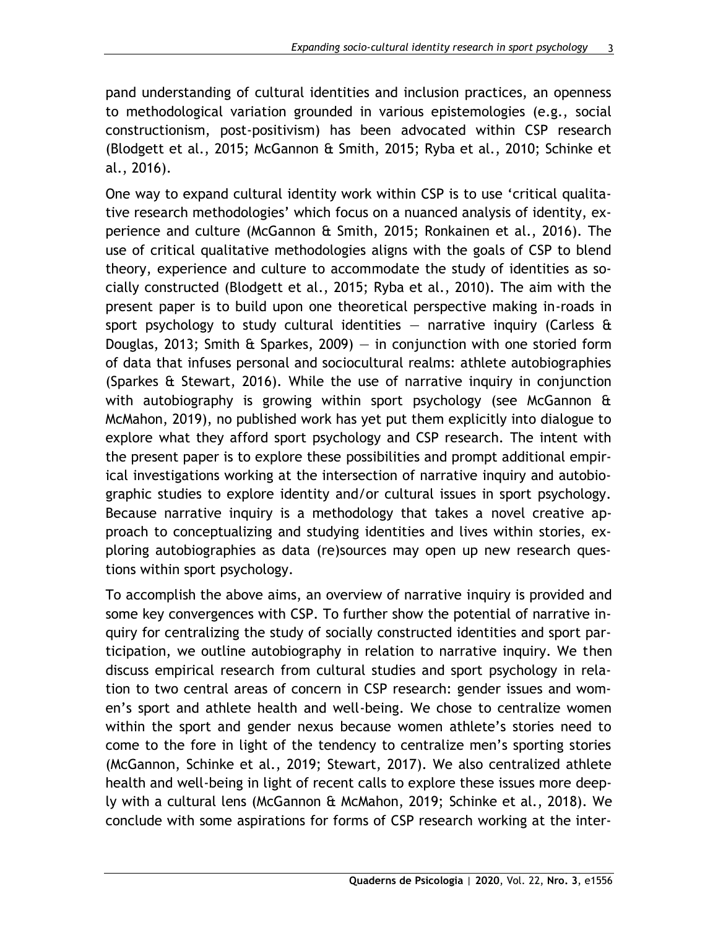pand understanding of cultural identities and inclusion practices, an openness to methodological variation grounded in various epistemologies (e.g., social constructionism, post-positivism) has been advocated within CSP research (Blodgett et al., 2015; McGannon & Smith, 2015; Ryba et al., 2010; Schinke et al., 2016).

One way to expand cultural identity work within CSP is to use 'critical qualitative research methodologies' which focus on a nuanced analysis of identity, experience and culture (McGannon & Smith, 2015; Ronkainen et al., 2016). The use of critical qualitative methodologies aligns with the goals of CSP to blend theory, experience and culture to accommodate the study of identities as socially constructed (Blodgett et al., 2015; Ryba et al., 2010). The aim with the present paper is to build upon one theoretical perspective making in-roads in sport psychology to study cultural identities  $-$  narrative inquiry (Carless  $\theta$ Douglas, 2013; Smith & Sparkes, 2009) – in conjunction with one storied form of data that infuses personal and sociocultural realms: athlete autobiographies (Sparkes & Stewart, 2016). While the use of narrative inquiry in conjunction with autobiography is growing within sport psychology (see McGannon & McMahon, 2019), no published work has yet put them explicitly into dialogue to explore what they afford sport psychology and CSP research. The intent with the present paper is to explore these possibilities and prompt additional empirical investigations working at the intersection of narrative inquiry and autobiographic studies to explore identity and/or cultural issues in sport psychology. Because narrative inquiry is a methodology that takes a novel creative approach to conceptualizing and studying identities and lives within stories, exploring autobiographies as data (re)sources may open up new research questions within sport psychology.

To accomplish the above aims, an overview of narrative inquiry is provided and some key convergences with CSP. To further show the potential of narrative inquiry for centralizing the study of socially constructed identities and sport participation, we outline autobiography in relation to narrative inquiry. We then discuss empirical research from cultural studies and sport psychology in relation to two central areas of concern in CSP research: gender issues and women's sport and athlete health and well-being. We chose to centralize women within the sport and gender nexus because women athlete's stories need to come to the fore in light of the tendency to centralize men's sporting stories (McGannon, Schinke et al., 2019; Stewart, 2017). We also centralized athlete health and well-being in light of recent calls to explore these issues more deeply with a cultural lens (McGannon & McMahon, 2019; Schinke et al., 2018). We conclude with some aspirations for forms of CSP research working at the inter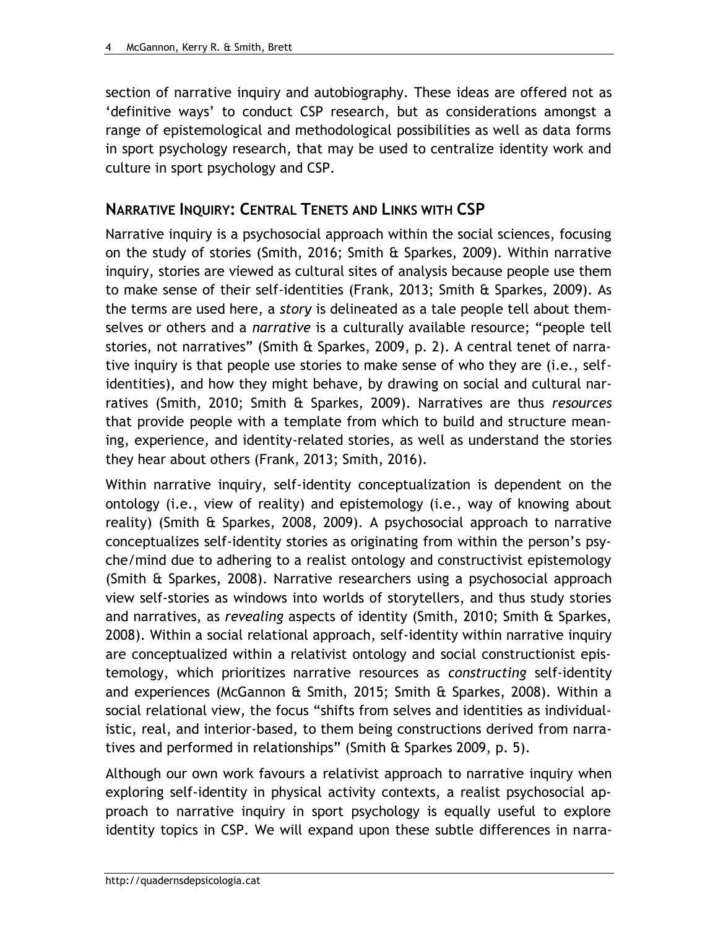section of narrative inquiry and autobiography. These ideas are offered not as 'definitive ways' to conduct CSP research, but as considerations amongst a range of epistemological and methodological possibilities as well as data forms in sport psychology research, that may be used to centralize identity work and culture in sport psychology and CSP.

## **NARRATIVE INQUIRY: CENTRAL TENETS AND LINKS WITH CSP**

Narrative inquiry is a psychosocial approach within the social sciences, focusing on the study of stories (Smith, 2016; Smith & Sparkes, 2009). Within narrative inquiry, stories are viewed as cultural sites of analysis because people use them to make sense of their self-identities (Frank, 2013; Smith & Sparkes, 2009). As the terms are used here, a *story* is delineated as a tale people tell about themselves or others and a *narrative* is a culturally available resource; "people tell stories, not narratives" (Smith & Sparkes, 2009, p. 2). A central tenet of narrative inquiry is that people use stories to make sense of who they are (i.e., selfidentities), and how they might behave, by drawing on social and cultural narratives (Smith, 2010; Smith & Sparkes, 2009). Narratives are thus *resources* that provide people with a template from which to build and structure meaning, experience, and identity-related stories, as well as understand the stories they hear about others (Frank, 2013; Smith, 2016).

Within narrative inquiry, self-identity conceptualization is dependent on the ontology (i.e., view of reality) and epistemology (i.e., way of knowing about reality) (Smith & Sparkes, 2008, 2009). A psychosocial approach to narrative conceptualizes self-identity stories as originating from within the person's psyche/mind due to adhering to a realist ontology and constructivist epistemology (Smith & Sparkes, 2008). Narrative researchers using a psychosocial approach view self-stories as windows into worlds of storytellers, and thus study stories and narratives, as *revealing* aspects of identity (Smith, 2010; Smith & Sparkes, 2008). Within a social relational approach, self-identity within narrative inquiry are conceptualized within a relativist ontology and social constructionist epistemology, which prioritizes narrative resources as *constructing* self-identity and experiences (McGannon & Smith, 2015; Smith & Sparkes, 2008). Within a social relational view, the focus "shifts from selves and identities as individualistic, real, and interior-based, to them being constructions derived from narratives and performed in relationships" (Smith & Sparkes 2009, p. 5).

Although our own work favours a relativist approach to narrative inquiry when exploring self-identity in physical activity contexts, a realist psychosocial approach to narrative inquiry in sport psychology is equally useful to explore identity topics in CSP. We will expand upon these subtle differences in narra-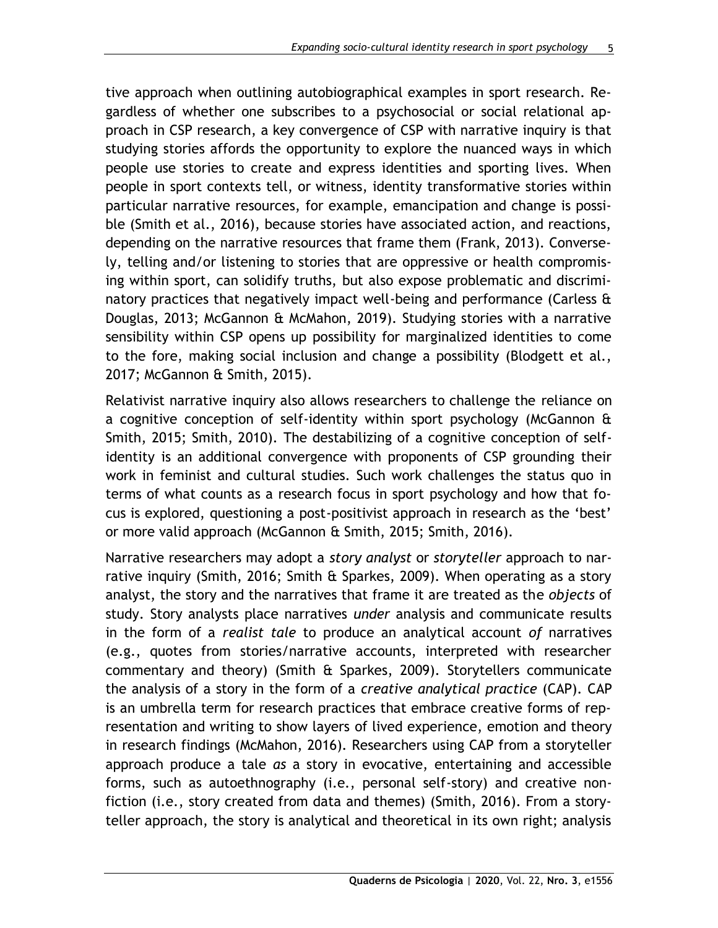tive approach when outlining autobiographical examples in sport research. Regardless of whether one subscribes to a psychosocial or social relational approach in CSP research, a key convergence of CSP with narrative inquiry is that studying stories affords the opportunity to explore the nuanced ways in which people use stories to create and express identities and sporting lives. When people in sport contexts tell, or witness, identity transformative stories within particular narrative resources, for example, emancipation and change is possible (Smith et al., 2016), because stories have associated action, and reactions, depending on the narrative resources that frame them (Frank, 2013). Conversely, telling and/or listening to stories that are oppressive or health compromising within sport, can solidify truths, but also expose problematic and discriminatory practices that negatively impact well-being and performance (Carless & Douglas, 2013; McGannon & McMahon, 2019). Studying stories with a narrative sensibility within CSP opens up possibility for marginalized identities to come to the fore, making social inclusion and change a possibility (Blodgett et al., 2017; McGannon & Smith, 2015).

Relativist narrative inquiry also allows researchers to challenge the reliance on a cognitive conception of self-identity within sport psychology (McGannon & Smith, 2015; Smith, 2010). The destabilizing of a cognitive conception of selfidentity is an additional convergence with proponents of CSP grounding their work in feminist and cultural studies. Such work challenges the status quo in terms of what counts as a research focus in sport psychology and how that focus is explored, questioning a post-positivist approach in research as the 'best' or more valid approach (McGannon & Smith, 2015; Smith, 2016).

Narrative researchers may adopt a *story analyst* or *storyteller* approach to narrative inquiry (Smith, 2016; Smith  $\hat{\alpha}$  Sparkes, 2009). When operating as a story analyst, the story and the narratives that frame it are treated as the *objects* of study. Story analysts place narratives *under* analysis and communicate results in the form of a *realist tale* to produce an analytical account *of* narratives (e.g., quotes from stories/narrative accounts, interpreted with researcher commentary and theory) (Smith & Sparkes, 2009). Storytellers communicate the analysis of a story in the form of a *creative analytical practice* (CAP). CAP is an umbrella term for research practices that embrace creative forms of representation and writing to show layers of lived experience, emotion and theory in research findings (McMahon, 2016). Researchers using CAP from a storyteller approach produce a tale *as* a story in evocative, entertaining and accessible forms, such as autoethnography (i.e., personal self-story) and creative nonfiction (i.e., story created from data and themes) (Smith, 2016). From a storyteller approach, the story is analytical and theoretical in its own right; analysis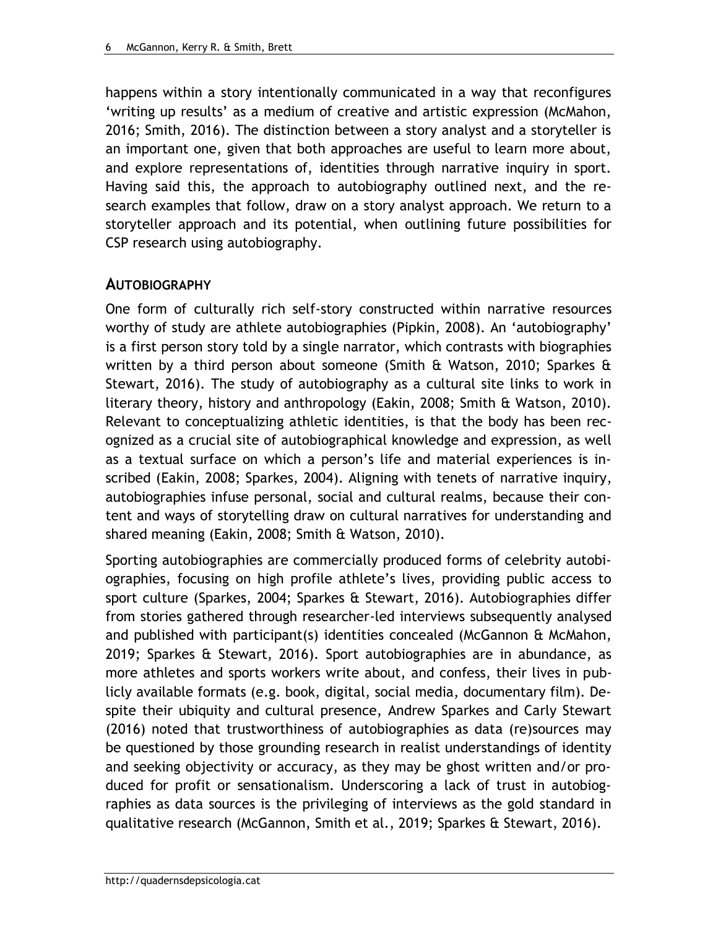happens within a story intentionally communicated in a way that reconfigures 'writing up results' as a medium of creative and artistic expression (McMahon, 2016; Smith, 2016). The distinction between a story analyst and a storyteller is an important one, given that both approaches are useful to learn more about, and explore representations of, identities through narrative inquiry in sport. Having said this, the approach to autobiography outlined next, and the research examples that follow, draw on a story analyst approach. We return to a storyteller approach and its potential, when outlining future possibilities for CSP research using autobiography.

## **AUTOBIOGRAPHY**

One form of culturally rich self-story constructed within narrative resources worthy of study are athlete autobiographies (Pipkin, 2008). An 'autobiography' is a first person story told by a single narrator, which contrasts with biographies written by a third person about someone (Smith  $\alpha$  Watson, 2010; Sparkes  $\alpha$ Stewart, 2016). The study of autobiography as a cultural site links to work in literary theory, history and anthropology (Eakin, 2008; Smith & Watson, 2010). Relevant to conceptualizing athletic identities, is that the body has been recognized as a crucial site of autobiographical knowledge and expression, as well as a textual surface on which a person's life and material experiences is inscribed (Eakin, 2008; Sparkes, 2004). Aligning with tenets of narrative inquiry, autobiographies infuse personal, social and cultural realms, because their content and ways of storytelling draw on cultural narratives for understanding and shared meaning (Eakin, 2008; Smith & Watson, 2010).

Sporting autobiographies are commercially produced forms of celebrity autobiographies, focusing on high profile athlete's lives, providing public access to sport culture (Sparkes, 2004; Sparkes & Stewart, 2016). Autobiographies differ from stories gathered through researcher-led interviews subsequently analysed and published with participant(s) identities concealed (McGannon & McMahon, 2019; Sparkes & Stewart, 2016). Sport autobiographies are in abundance, as more athletes and sports workers write about, and confess, their lives in publicly available formats (e.g. book, digital, social media, documentary film). Despite their ubiquity and cultural presence, Andrew Sparkes and Carly Stewart (2016) noted that trustworthiness of autobiographies as data (re)sources may be questioned by those grounding research in realist understandings of identity and seeking objectivity or accuracy, as they may be ghost written and/or produced for profit or sensationalism. Underscoring a lack of trust in autobiographies as data sources is the privileging of interviews as the gold standard in qualitative research (McGannon, Smith et al., 2019; Sparkes & Stewart, 2016).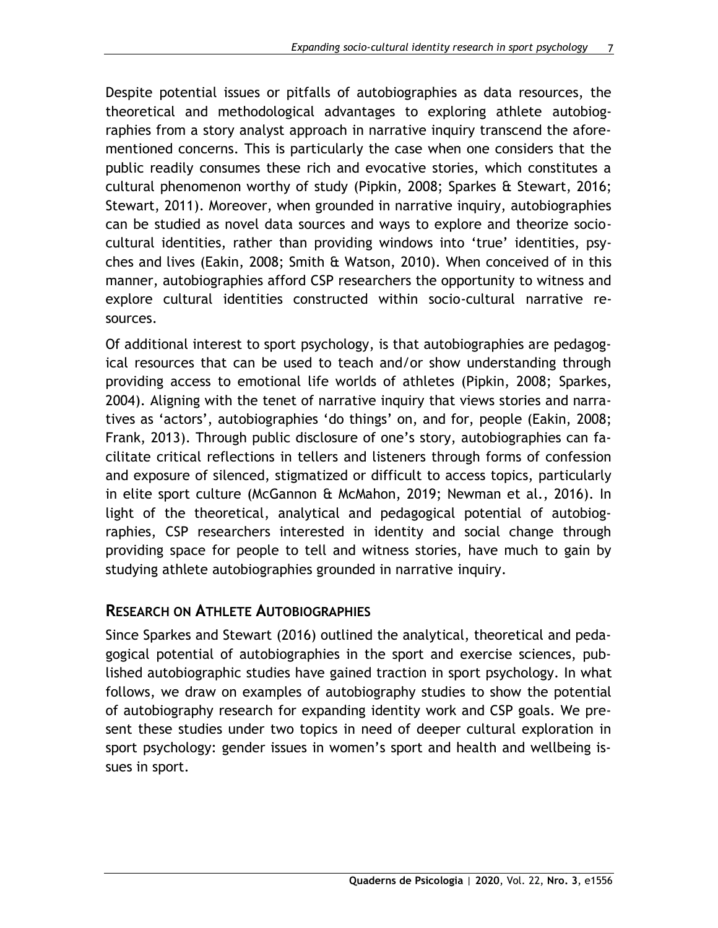Despite potential issues or pitfalls of autobiographies as data resources, the theoretical and methodological advantages to exploring athlete autobiographies from a story analyst approach in narrative inquiry transcend the aforementioned concerns. This is particularly the case when one considers that the public readily consumes these rich and evocative stories, which constitutes a cultural phenomenon worthy of study (Pipkin, 2008; Sparkes & Stewart, 2016; Stewart, 2011). Moreover, when grounded in narrative inquiry, autobiographies can be studied as novel data sources and ways to explore and theorize sociocultural identities, rather than providing windows into 'true' identities, psyches and lives (Eakin, 2008; Smith & Watson, 2010). When conceived of in this manner, autobiographies afford CSP researchers the opportunity to witness and explore cultural identities constructed within socio-cultural narrative resources.

Of additional interest to sport psychology, is that autobiographies are pedagogical resources that can be used to teach and/or show understanding through providing access to emotional life worlds of athletes (Pipkin, 2008; Sparkes, 2004). Aligning with the tenet of narrative inquiry that views stories and narratives as 'actors', autobiographies 'do things' on, and for, people (Eakin, 2008; Frank, 2013). Through public disclosure of one's story, autobiographies can facilitate critical reflections in tellers and listeners through forms of confession and exposure of silenced, stigmatized or difficult to access topics, particularly in elite sport culture (McGannon & McMahon, 2019; Newman et al., 2016). In light of the theoretical, analytical and pedagogical potential of autobiographies, CSP researchers interested in identity and social change through providing space for people to tell and witness stories, have much to gain by studying athlete autobiographies grounded in narrative inquiry.

## **RESEARCH ON ATHLETE AUTOBIOGRAPHIES**

Since Sparkes and Stewart (2016) outlined the analytical, theoretical and pedagogical potential of autobiographies in the sport and exercise sciences, published autobiographic studies have gained traction in sport psychology. In what follows, we draw on examples of autobiography studies to show the potential of autobiography research for expanding identity work and CSP goals. We present these studies under two topics in need of deeper cultural exploration in sport psychology: gender issues in women's sport and health and wellbeing issues in sport.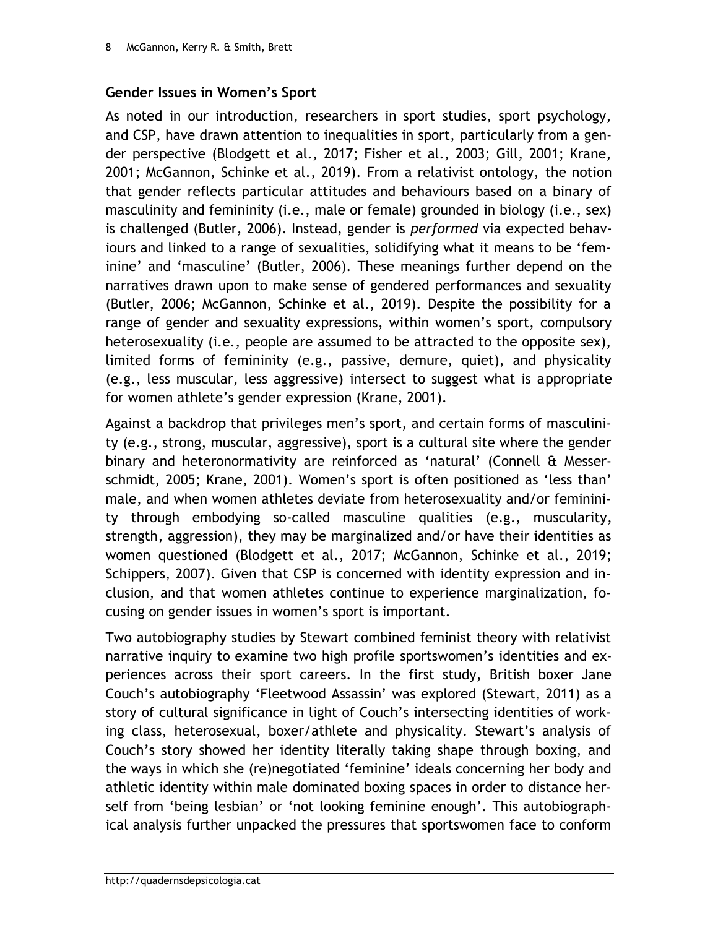### **Gender Issues in Women's Sport**

As noted in our introduction, researchers in sport studies, sport psychology, and CSP, have drawn attention to inequalities in sport, particularly from a gender perspective (Blodgett et al., 2017; Fisher et al., 2003; Gill, 2001; Krane, 2001; McGannon, Schinke et al., 2019). From a relativist ontology, the notion that gender reflects particular attitudes and behaviours based on a binary of masculinity and femininity (i.e., male or female) grounded in biology (i.e., sex) is challenged (Butler, 2006). Instead, gender is *performed* via expected behaviours and linked to a range of sexualities, solidifying what it means to be 'feminine' and 'masculine' (Butler, 2006). These meanings further depend on the narratives drawn upon to make sense of gendered performances and sexuality (Butler, 2006; McGannon, Schinke et al., 2019). Despite the possibility for a range of gender and sexuality expressions, within women's sport, compulsory heterosexuality (i.e., people are assumed to be attracted to the opposite sex), limited forms of femininity (e.g., passive, demure, quiet), and physicality (e.g., less muscular, less aggressive) intersect to suggest what is appropriate for women athlete's gender expression (Krane, 2001).

Against a backdrop that privileges men's sport, and certain forms of masculinity (e.g., strong, muscular, aggressive), sport is a cultural site where the gender binary and heteronormativity are reinforced as 'natural' (Connell & Messerschmidt, 2005; Krane, 2001). Women's sport is often positioned as 'less than' male, and when women athletes deviate from heterosexuality and/or femininity through embodying so-called masculine qualities (e.g., muscularity, strength, aggression), they may be marginalized and/or have their identities as women questioned (Blodgett et al., 2017; McGannon, Schinke et al., 2019; Schippers, 2007). Given that CSP is concerned with identity expression and inclusion, and that women athletes continue to experience marginalization, focusing on gender issues in women's sport is important.

Two autobiography studies by Stewart combined feminist theory with relativist narrative inquiry to examine two high profile sportswomen's identities and experiences across their sport careers. In the first study, British boxer Jane Couch's autobiography 'Fleetwood Assassin' was explored (Stewart, 2011) as a story of cultural significance in light of Couch's intersecting identities of working class, heterosexual, boxer/athlete and physicality. Stewart's analysis of Couch's story showed her identity literally taking shape through boxing, and the ways in which she (re)negotiated 'feminine' ideals concerning her body and athletic identity within male dominated boxing spaces in order to distance herself from 'being lesbian' or 'not looking feminine enough'. This autobiographical analysis further unpacked the pressures that sportswomen face to conform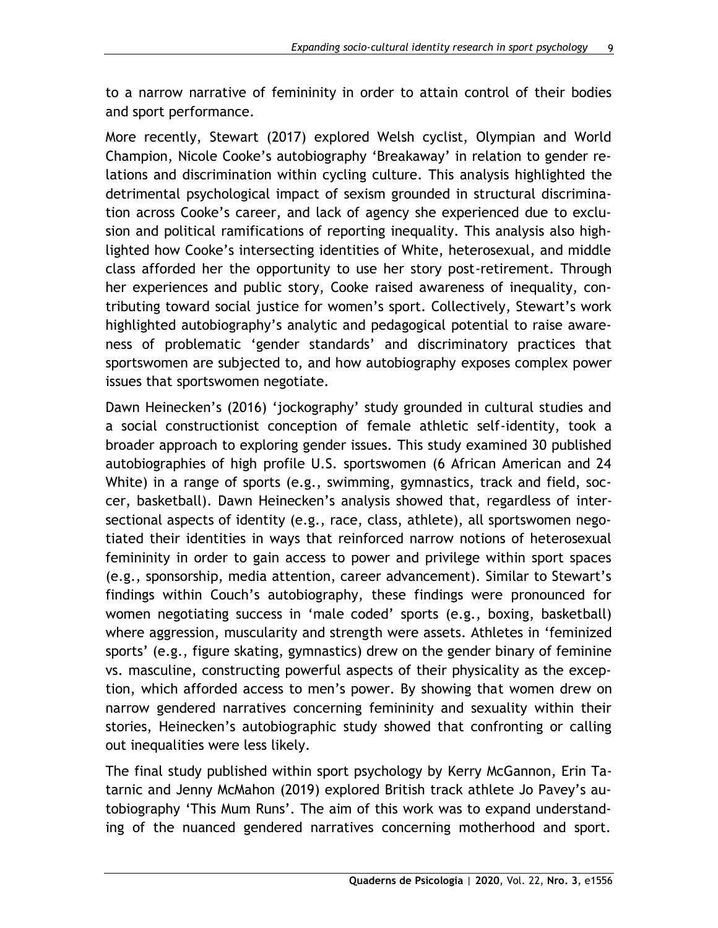to a narrow narrative of femininity in order to attain control of their bodies and sport performance.

More recently, Stewart (2017) explored Welsh cyclist, Olympian and World Champion, Nicole Cooke's autobiography 'Breakaway' in relation to gender relations and discrimination within cycling culture. This analysis highlighted the detrimental psychological impact of sexism grounded in structural discrimination across Cooke's career, and lack of agency she experienced due to exclusion and political ramifications of reporting inequality. This analysis also highlighted how Cooke's intersecting identities of White, heterosexual, and middle class afforded her the opportunity to use her story post-retirement. Through her experiences and public story, Cooke raised awareness of inequality, contributing toward social justice for women's sport. Collectively, Stewart's work highlighted autobiography's analytic and pedagogical potential to raise awareness of problematic 'gender standards' and discriminatory practices that sportswomen are subjected to, and how autobiography exposes complex power issues that sportswomen negotiate.

Dawn Heinecken's (2016) 'jockography' study grounded in cultural studies and a social constructionist conception of female athletic self-identity, took a broader approach to exploring gender issues. This study examined 30 published autobiographies of high profile U.S. sportswomen (6 African American and 24 White) in a range of sports (e.g., swimming, gymnastics, track and field, soccer, basketball). Dawn Heinecken's analysis showed that, regardless of intersectional aspects of identity (e.g., race, class, athlete), all sportswomen negotiated their identities in ways that reinforced narrow notions of heterosexual femininity in order to gain access to power and privilege within sport spaces (e.g., sponsorship, media attention, career advancement). Similar to Stewart's findings within Couch's autobiography, these findings were pronounced for women negotiating success in 'male coded' sports (e.g., boxing, basketball) where aggression, muscularity and strength were assets. Athletes in 'feminized sports' (e.g., figure skating, gymnastics) drew on the gender binary of feminine vs. masculine, constructing powerful aspects of their physicality as the exception, which afforded access to men's power. By showing that women drew on narrow gendered narratives concerning femininity and sexuality within their stories, Heinecken's autobiographic study showed that confronting or calling out inequalities were less likely.

The final study published within sport psychology by Kerry McGannon, Erin Tatarnic and Jenny McMahon (2019) explored British track athlete Jo Pavey's autobiography 'This Mum Runs'. The aim of this work was to expand understanding of the nuanced gendered narratives concerning motherhood and sport.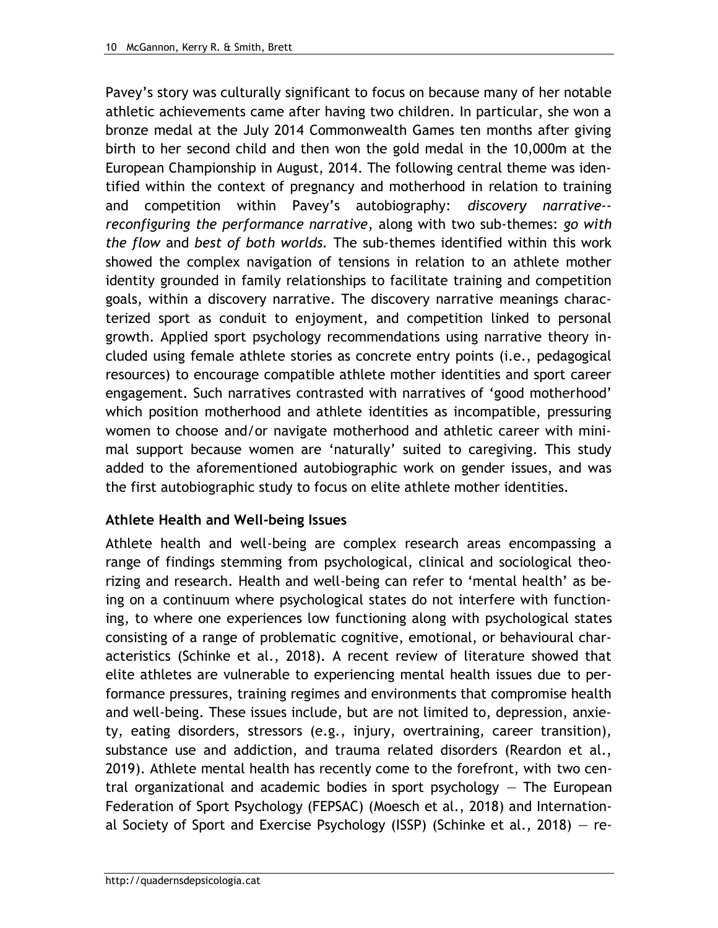Pavey's story was culturally significant to focus on because many of her notable athletic achievements came after having two children. In particular, she won a bronze medal at the July 2014 Commonwealth Games ten months after giving birth to her second child and then won the gold medal in the 10,000m at the European Championship in August, 2014. The following central theme was identified within the context of pregnancy and motherhood in relation to training and competition within Pavey's autobiography: *discovery narrative- reconfiguring the performance narrative*, along with two sub-themes: *go with the flow* and *best of both worlds.* The sub-themes identified within this work showed the complex navigation of tensions in relation to an athlete mother identity grounded in family relationships to facilitate training and competition goals, within a discovery narrative. The discovery narrative meanings characterized sport as conduit to enjoyment, and competition linked to personal growth. Applied sport psychology recommendations using narrative theory included using female athlete stories as concrete entry points (i.e., pedagogical resources) to encourage compatible athlete mother identities and sport career engagement. Such narratives contrasted with narratives of 'good motherhood' which position motherhood and athlete identities as incompatible, pressuring women to choose and/or navigate motherhood and athletic career with minimal support because women are 'naturally' suited to caregiving. This study added to the aforementioned autobiographic work on gender issues, and was the first autobiographic study to focus on elite athlete mother identities.

### **Athlete Health and Well-being Issues**

Athlete health and well-being are complex research areas encompassing a range of findings stemming from psychological, clinical and sociological theorizing and research. Health and well-being can refer to 'mental health' as being on a continuum where psychological states do not interfere with functioning, to where one experiences low functioning along with psychological states consisting of a range of problematic cognitive, emotional, or behavioural characteristics (Schinke et al., 2018). A recent review of literature showed that elite athletes are vulnerable to experiencing mental health issues due to performance pressures, training regimes and environments that compromise health and well-being. These issues include, but are not limited to, depression, anxiety, eating disorders, stressors (e.g., injury, overtraining, career transition), substance use and addiction, and trauma related disorders (Reardon et al., 2019). Athlete mental health has recently come to the forefront, with two central organizational and academic bodies in sport psychology — The European Federation of Sport Psychology (FEPSAC) (Moesch et al., 2018) and International Society of Sport and Exercise Psychology (ISSP) (Schinke et al., 2018) — re-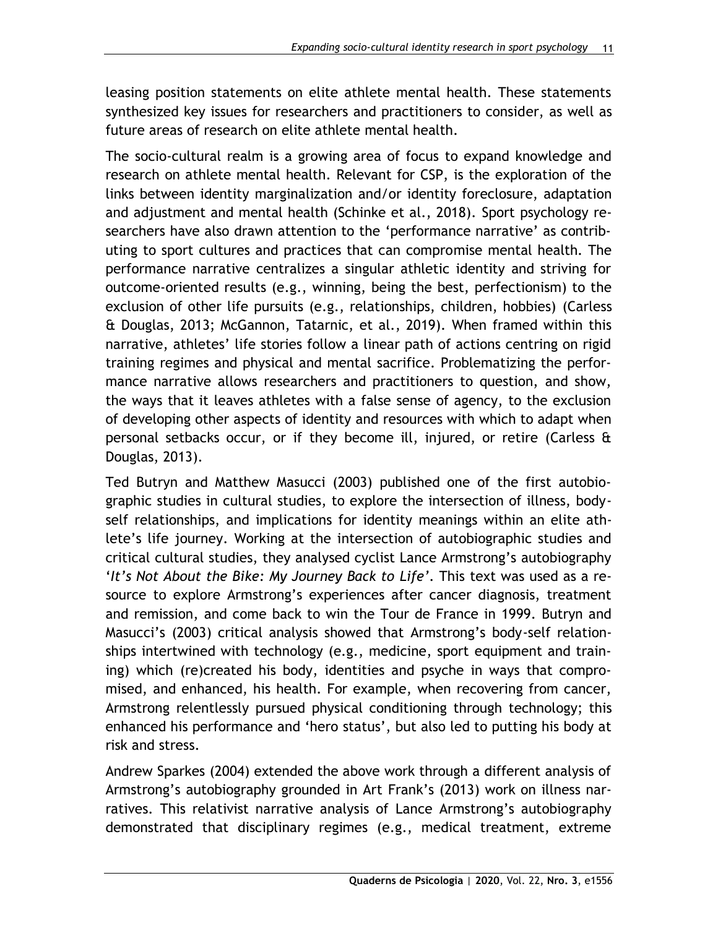leasing position statements on elite athlete mental health. These statements synthesized key issues for researchers and practitioners to consider, as well as future areas of research on elite athlete mental health.

The socio-cultural realm is a growing area of focus to expand knowledge and research on athlete mental health. Relevant for CSP, is the exploration of the links between identity marginalization and/or identity foreclosure, adaptation and adjustment and mental health (Schinke et al., 2018). Sport psychology researchers have also drawn attention to the 'performance narrative' as contributing to sport cultures and practices that can compromise mental health. The performance narrative centralizes a singular athletic identity and striving for outcome-oriented results (e.g., winning, being the best, perfectionism) to the exclusion of other life pursuits (e.g., relationships, children, hobbies) (Carless & Douglas, 2013; McGannon, Tatarnic, et al., 2019). When framed within this narrative, athletes' life stories follow a linear path of actions centring on rigid training regimes and physical and mental sacrifice. Problematizing the performance narrative allows researchers and practitioners to question, and show, the ways that it leaves athletes with a false sense of agency, to the exclusion of developing other aspects of identity and resources with which to adapt when personal setbacks occur, or if they become ill, injured, or retire (Carless & Douglas, 2013).

Ted Butryn and Matthew Masucci (2003) published one of the first autobiographic studies in cultural studies, to explore the intersection of illness, bodyself relationships, and implications for identity meanings within an elite athlete's life journey. Working at the intersection of autobiographic studies and critical cultural studies, they analysed cyclist Lance Armstrong's autobiography '*It's Not About the Bike: My Journey Back to Life'*. This text was used as a resource to explore Armstrong's experiences after cancer diagnosis, treatment and remission, and come back to win the Tour de France in 1999. Butryn and Masucci's (2003) critical analysis showed that Armstrong's body-self relationships intertwined with technology (e.g., medicine, sport equipment and training) which (re)created his body, identities and psyche in ways that compromised, and enhanced, his health. For example, when recovering from cancer, Armstrong relentlessly pursued physical conditioning through technology; this enhanced his performance and 'hero status', but also led to putting his body at risk and stress.

Andrew Sparkes (2004) extended the above work through a different analysis of Armstrong's autobiography grounded in Art Frank's (2013) work on illness narratives. This relativist narrative analysis of Lance Armstrong's autobiography demonstrated that disciplinary regimes (e.g., medical treatment, extreme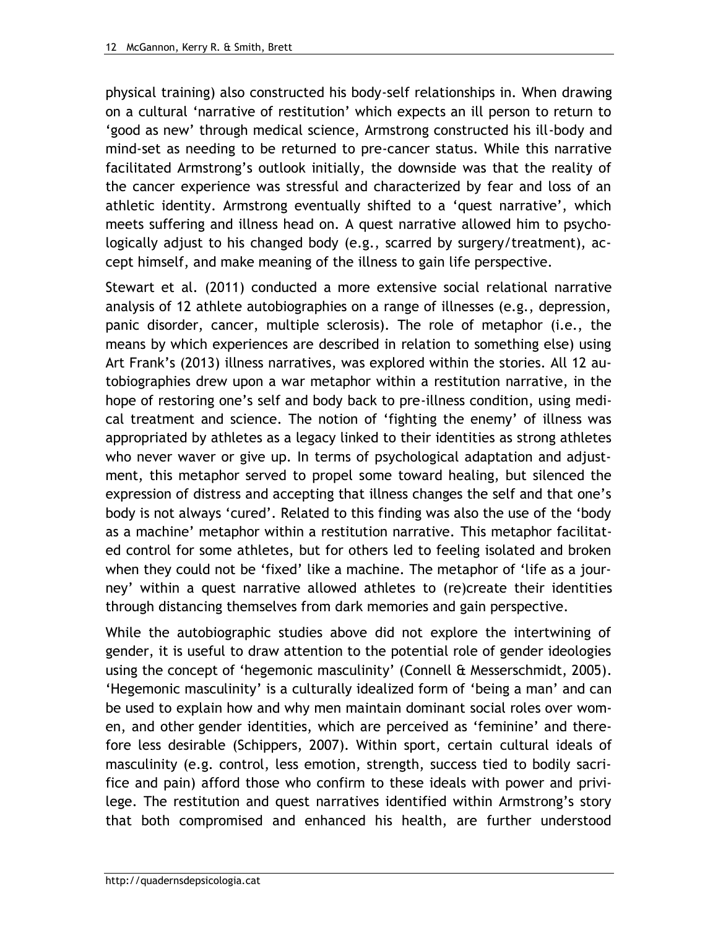physical training) also constructed his body-self relationships in. When drawing on a cultural 'narrative of restitution' which expects an ill person to return to 'good as new' through medical science, Armstrong constructed his ill-body and mind-set as needing to be returned to pre-cancer status. While this narrative facilitated Armstrong's outlook initially, the downside was that the reality of the cancer experience was stressful and characterized by fear and loss of an athletic identity. Armstrong eventually shifted to a 'quest narrative', which meets suffering and illness head on. A quest narrative allowed him to psychologically adjust to his changed body (e.g., scarred by surgery/treatment), accept himself, and make meaning of the illness to gain life perspective.

Stewart et al. (2011) conducted a more extensive social relational narrative analysis of 12 athlete autobiographies on a range of illnesses (e.g., depression, panic disorder, cancer, multiple sclerosis). The role of metaphor (i.e., the means by which experiences are described in relation to something else) using Art Frank's (2013) illness narratives, was explored within the stories. All 12 autobiographies drew upon a war metaphor within a restitution narrative, in the hope of restoring one's self and body back to pre-illness condition, using medical treatment and science. The notion of 'fighting the enemy' of illness was appropriated by athletes as a legacy linked to their identities as strong athletes who never waver or give up. In terms of psychological adaptation and adjustment, this metaphor served to propel some toward healing, but silenced the expression of distress and accepting that illness changes the self and that one's body is not always 'cured'. Related to this finding was also the use of the 'body as a machine' metaphor within a restitution narrative. This metaphor facilitated control for some athletes, but for others led to feeling isolated and broken when they could not be 'fixed' like a machine. The metaphor of 'life as a journey' within a quest narrative allowed athletes to (re)create their identities through distancing themselves from dark memories and gain perspective.

While the autobiographic studies above did not explore the intertwining of gender, it is useful to draw attention to the potential role of gender ideologies using the concept of 'hegemonic masculinity' (Connell & Messerschmidt, 2005). 'Hegemonic masculinity' is a culturally idealized form of 'being a man' and can be used to explain how and why men maintain dominant social roles over women, and other gender identities, which are perceived as 'feminine' and therefore less desirable (Schippers, 2007). Within sport, certain cultural ideals of masculinity (e.g. control, less emotion, strength, success tied to bodily sacrifice and pain) afford those who confirm to these ideals with power and privilege. The restitution and quest narratives identified within Armstrong's story that both compromised and enhanced his health, are further understood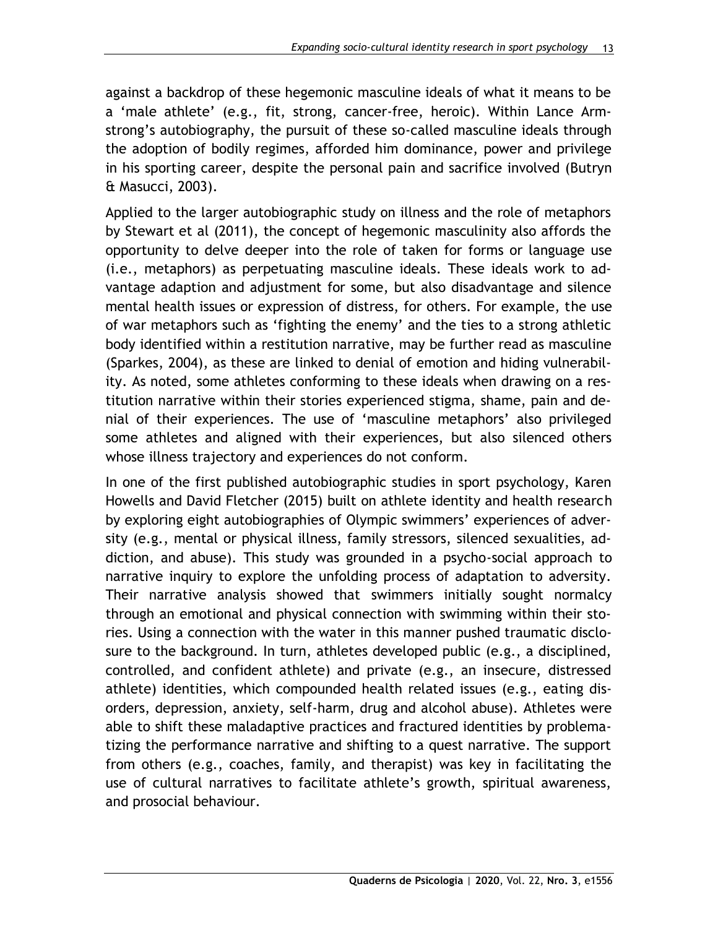against a backdrop of these hegemonic masculine ideals of what it means to be a 'male athlete' (e.g., fit, strong, cancer-free, heroic). Within Lance Armstrong's autobiography, the pursuit of these so-called masculine ideals through the adoption of bodily regimes, afforded him dominance, power and privilege in his sporting career, despite the personal pain and sacrifice involved (Butryn & Masucci, 2003).

Applied to the larger autobiographic study on illness and the role of metaphors by Stewart et al (2011), the concept of hegemonic masculinity also affords the opportunity to delve deeper into the role of taken for forms or language use (i.e., metaphors) as perpetuating masculine ideals. These ideals work to advantage adaption and adjustment for some, but also disadvantage and silence mental health issues or expression of distress, for others. For example, the use of war metaphors such as 'fighting the enemy' and the ties to a strong athletic body identified within a restitution narrative, may be further read as masculine (Sparkes, 2004), as these are linked to denial of emotion and hiding vulnerability. As noted, some athletes conforming to these ideals when drawing on a restitution narrative within their stories experienced stigma, shame, pain and denial of their experiences. The use of 'masculine metaphors' also privileged some athletes and aligned with their experiences, but also silenced others whose illness trajectory and experiences do not conform.

In one of the first published autobiographic studies in sport psychology, Karen Howells and David Fletcher (2015) built on athlete identity and health research by exploring eight autobiographies of Olympic swimmers' experiences of adversity (e.g., mental or physical illness, family stressors, silenced sexualities, addiction, and abuse). This study was grounded in a psycho-social approach to narrative inquiry to explore the unfolding process of adaptation to adversity. Their narrative analysis showed that swimmers initially sought normalcy through an emotional and physical connection with swimming within their stories. Using a connection with the water in this manner pushed traumatic disclosure to the background. In turn, athletes developed public (e.g., a disciplined, controlled, and confident athlete) and private (e.g., an insecure, distressed athlete) identities, which compounded health related issues (e.g., eating disorders, depression, anxiety, self-harm, drug and alcohol abuse). Athletes were able to shift these maladaptive practices and fractured identities by problematizing the performance narrative and shifting to a quest narrative. The support from others (e.g., coaches, family, and therapist) was key in facilitating the use of cultural narratives to facilitate athlete's growth, spiritual awareness, and prosocial behaviour.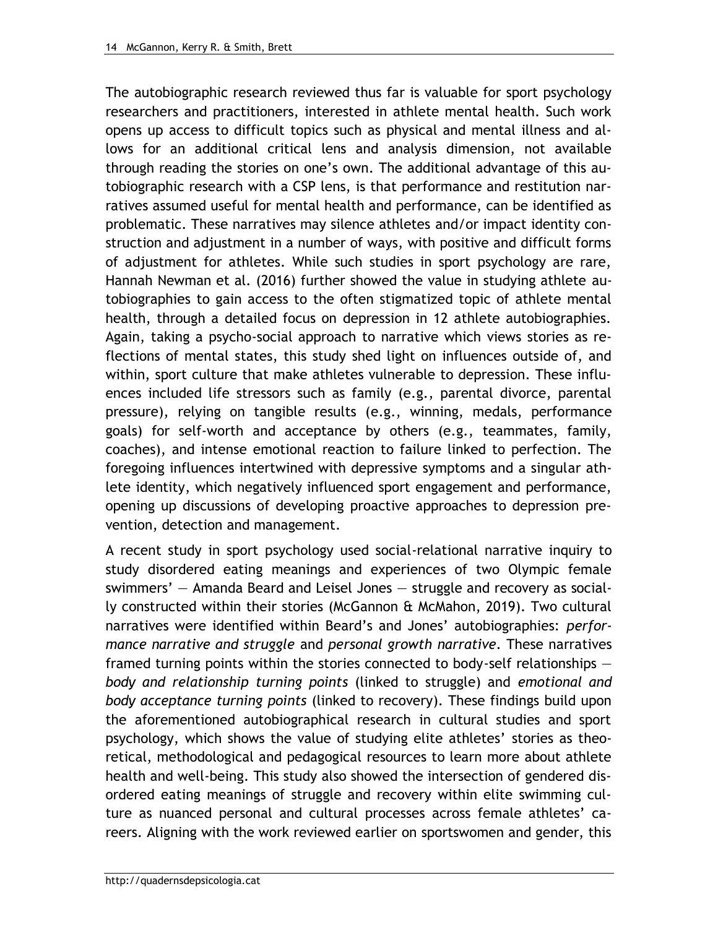The autobiographic research reviewed thus far is valuable for sport psychology researchers and practitioners, interested in athlete mental health. Such work opens up access to difficult topics such as physical and mental illness and allows for an additional critical lens and analysis dimension, not available through reading the stories on one's own. The additional advantage of this autobiographic research with a CSP lens, is that performance and restitution narratives assumed useful for mental health and performance, can be identified as problematic. These narratives may silence athletes and/or impact identity construction and adjustment in a number of ways, with positive and difficult forms of adjustment for athletes. While such studies in sport psychology are rare, Hannah Newman et al. (2016) further showed the value in studying athlete autobiographies to gain access to the often stigmatized topic of athlete mental health, through a detailed focus on depression in 12 athlete autobiographies. Again, taking a psycho-social approach to narrative which views stories as reflections of mental states, this study shed light on influences outside of, and within, sport culture that make athletes vulnerable to depression. These influences included life stressors such as family (e.g., parental divorce, parental pressure), relying on tangible results (e.g., winning, medals, performance goals) for self-worth and acceptance by others (e.g., teammates, family, coaches), and intense emotional reaction to failure linked to perfection. The foregoing influences intertwined with depressive symptoms and a singular athlete identity, which negatively influenced sport engagement and performance, opening up discussions of developing proactive approaches to depression prevention, detection and management.

A recent study in sport psychology used social-relational narrative inquiry to study disordered eating meanings and experiences of two Olympic female swimmers' — Amanda Beard and Leisel Jones — struggle and recovery as socially constructed within their stories (McGannon & McMahon, 2019). Two cultural narratives were identified within Beard's and Jones' autobiographies: *performance narrative and struggle* and *personal growth narrative*. These narratives framed turning points within the stories connected to body-self relationships *body and relationship turning points* (linked to struggle) and *emotional and body acceptance turning points* (linked to recovery). These findings build upon the aforementioned autobiographical research in cultural studies and sport psychology, which shows the value of studying elite athletes' stories as theoretical, methodological and pedagogical resources to learn more about athlete health and well-being. This study also showed the intersection of gendered disordered eating meanings of struggle and recovery within elite swimming culture as nuanced personal and cultural processes across female athletes' careers. Aligning with the work reviewed earlier on sportswomen and gender, this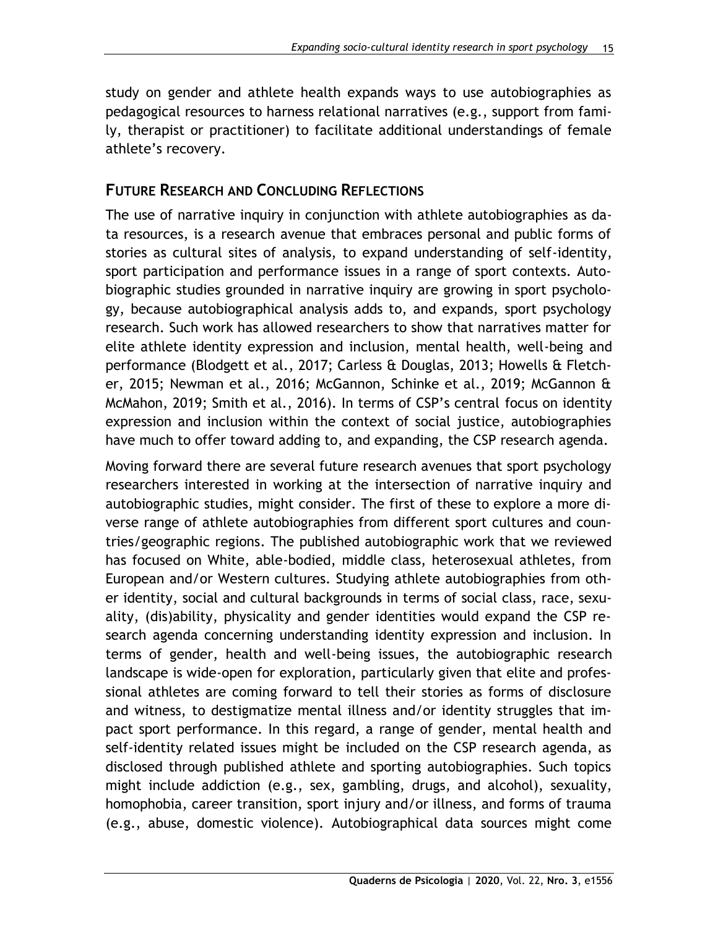study on gender and athlete health expands ways to use autobiographies as pedagogical resources to harness relational narratives (e.g., support from family, therapist or practitioner) to facilitate additional understandings of female athlete's recovery.

# **FUTURE RESEARCH AND CONCLUDING REFLECTIONS**

The use of narrative inquiry in conjunction with athlete autobiographies as data resources, is a research avenue that embraces personal and public forms of stories as cultural sites of analysis, to expand understanding of self-identity, sport participation and performance issues in a range of sport contexts. Autobiographic studies grounded in narrative inquiry are growing in sport psychology, because autobiographical analysis adds to, and expands, sport psychology research. Such work has allowed researchers to show that narratives matter for elite athlete identity expression and inclusion, mental health, well-being and performance (Blodgett et al., 2017; Carless & Douglas, 2013; Howells & Fletcher, 2015; Newman et al., 2016; McGannon, Schinke et al., 2019; McGannon & McMahon, 2019; Smith et al., 2016). In terms of CSP's central focus on identity expression and inclusion within the context of social justice, autobiographies have much to offer toward adding to, and expanding, the CSP research agenda.

Moving forward there are several future research avenues that sport psychology researchers interested in working at the intersection of narrative inquiry and autobiographic studies, might consider. The first of these to explore a more diverse range of athlete autobiographies from different sport cultures and countries/geographic regions. The published autobiographic work that we reviewed has focused on White, able-bodied, middle class, heterosexual athletes, from European and/or Western cultures. Studying athlete autobiographies from other identity, social and cultural backgrounds in terms of social class, race, sexuality, (dis)ability, physicality and gender identities would expand the CSP research agenda concerning understanding identity expression and inclusion. In terms of gender, health and well-being issues, the autobiographic research landscape is wide-open for exploration, particularly given that elite and professional athletes are coming forward to tell their stories as forms of disclosure and witness, to destigmatize mental illness and/or identity struggles that impact sport performance. In this regard, a range of gender, mental health and self-identity related issues might be included on the CSP research agenda, as disclosed through published athlete and sporting autobiographies. Such topics might include addiction (e.g., sex, gambling, drugs, and alcohol), sexuality, homophobia, career transition, sport injury and/or illness, and forms of trauma (e.g., abuse, domestic violence). Autobiographical data sources might come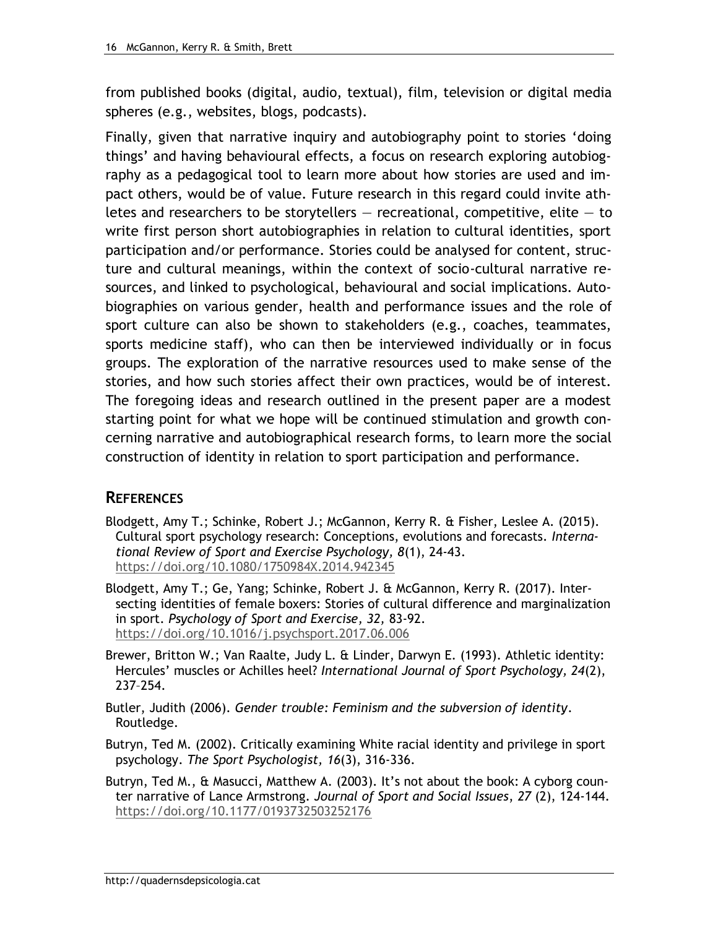from published books (digital, audio, textual), film, television or digital media spheres (e.g., websites, blogs, podcasts).

Finally, given that narrative inquiry and autobiography point to stories 'doing things' and having behavioural effects, a focus on research exploring autobiography as a pedagogical tool to learn more about how stories are used and impact others, would be of value. Future research in this regard could invite athletes and researchers to be storytellers  $-$  recreational, competitive, elite  $-$  to write first person short autobiographies in relation to cultural identities, sport participation and/or performance. Stories could be analysed for content, structure and cultural meanings, within the context of socio-cultural narrative resources, and linked to psychological, behavioural and social implications. Autobiographies on various gender, health and performance issues and the role of sport culture can also be shown to stakeholders (e.g., coaches, teammates, sports medicine staff), who can then be interviewed individually or in focus groups. The exploration of the narrative resources used to make sense of the stories, and how such stories affect their own practices, would be of interest. The foregoing ideas and research outlined in the present paper are a modest starting point for what we hope will be continued stimulation and growth concerning narrative and autobiographical research forms, to learn more the social construction of identity in relation to sport participation and performance.

## **REFERENCES**

- Blodgett, Amy T.; Schinke, Robert J.; McGannon, Kerry R. & Fisher, Leslee A. (2015). Cultural sport psychology research: Conceptions, evolutions and forecasts. *International Review of Sport and Exercise Psychology, 8*(1), 24-43. <https://doi.org/10.1080/1750984X.2014.942345>
- Blodgett, Amy T.; Ge, Yang; Schinke, Robert J. & McGannon, Kerry R. (2017). Intersecting identities of female boxers: Stories of cultural difference and marginalization in sport. *Psychology of Sport and Exercise, 32,* 83-92. <https://doi.org/10.1016/j.psychsport.2017.06.006>
- Brewer, Britton W.; Van Raalte, Judy L. & Linder, Darwyn E. (1993). Athletic identity: Hercules' muscles or Achilles heel? *International Journal of Sport Psychology, 24*(2), 237–254.
- Butler, Judith (2006). *Gender trouble: Feminism and the subversion of identity*. Routledge.
- Butryn, Ted M. (2002). Critically examining White racial identity and privilege in sport psychology. *The Sport Psychologist, 16*(3), 316-336.
- Butryn, Ted M., & Masucci, Matthew A. (2003). It's not about the book: A cyborg counter narrative of Lance Armstrong. *Journal of Sport and Social Issues*, *27* (2), 124-144. <https://doi.org/10.1177/0193732503252176>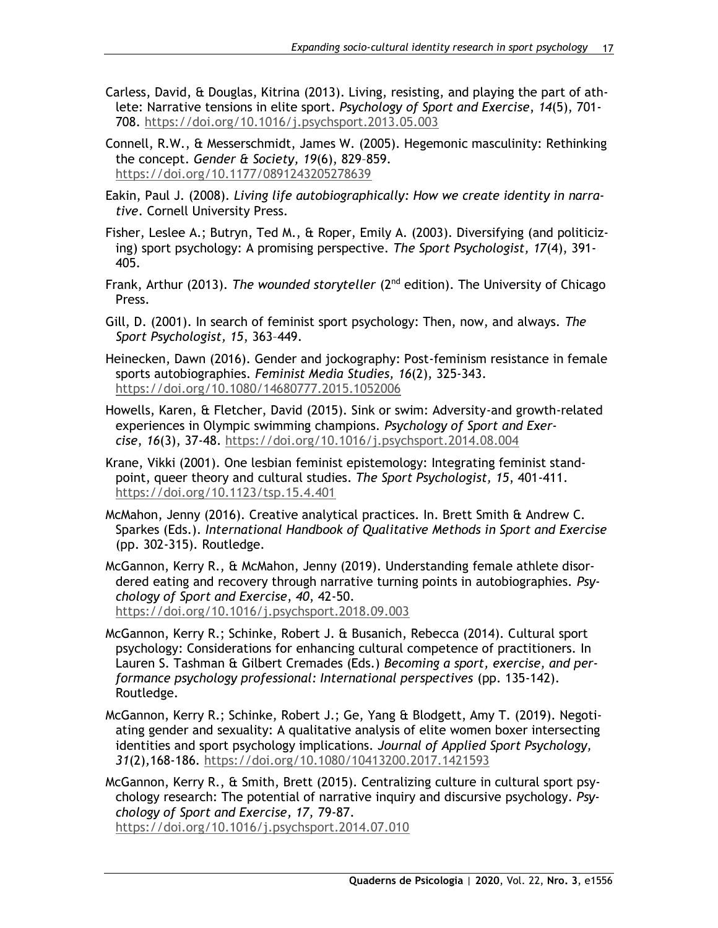- Carless, David, & Douglas, Kitrina (2013). Living, resisting, and playing the part of athlete: Narrative tensions in elite sport. *Psychology of Sport and Exercise*, *14*(5), 701- 708.<https://doi.org/10.1016/j.psychsport.2013.05.003>
- Connell, R.W., & Messerschmidt, James W. (2005). Hegemonic masculinity: Rethinking the concept. *Gender & Society, 19*(6), 829–859. <https://doi.org/10.1177/0891243205278639>
- Eakin, Paul J. (2008). *Living life autobiographically: How we create identity in narrative*. Cornell University Press.
- Fisher, Leslee A.; Butryn, Ted M., & Roper, Emily A. (2003). Diversifying (and politicizing) sport psychology: A promising perspective. *The Sport Psychologist, 17*(4), 391- 405.
- Frank, Arthur (2013). *The wounded storyteller* (2nd edition). The University of Chicago Press.
- Gill, D. (2001). In search of feminist sport psychology: Then, now, and always. *The Sport Psychologist, 15*, 363–449.
- Heinecken, Dawn (2016). Gender and jockography: Post-feminism resistance in female sports autobiographies. *Feminist Media Studies, 16*(2), 325-343. <https://doi.org/10.1080/14680777.2015.1052006>
- Howells, Karen, & Fletcher, David (2015). Sink or swim: Adversity-and growth-related experiences in Olympic swimming champions. *Psychology of Sport and Exercise*, *16*(3), 37-48.<https://doi.org/10.1016/j.psychsport.2014.08.004>
- Krane, Vikki (2001). One lesbian feminist epistemology: Integrating feminist standpoint, queer theory and cultural studies. *The Sport Psychologist, 15*, 401-411. <https://doi.org/10.1123/tsp.15.4.401>
- McMahon, Jenny (2016). Creative analytical practices. In. Brett Smith & Andrew C. Sparkes (Eds.). *International Handbook of Qualitative Methods in Sport and Exercise* (pp. 302-315)*.* Routledge.
- McGannon, Kerry R., & McMahon, Jenny (2019). Understanding female athlete disordered eating and recovery through narrative turning points in autobiographies. *Psychology of Sport and Exercise*, *40*, 42-50. <https://doi.org/10.1016/j.psychsport.2018.09.003>
- McGannon, Kerry R.; Schinke, Robert J. & Busanich, Rebecca (2014). Cultural sport psychology: Considerations for enhancing cultural competence of practitioners. In Lauren S. Tashman & Gilbert Cremades (Eds.) *Becoming a sport, exercise, and performance psychology professional: International perspectives* (pp. 135-142). Routledge.
- McGannon, Kerry R.; Schinke, Robert J.; Ge, Yang & Blodgett, Amy T. (2019). Negotiating gender and sexuality: A qualitative analysis of elite women boxer intersecting identities and sport psychology implications. *Journal of Applied Sport Psychology, 31*(2)*,*168-186*.* <https://doi.org/10.1080/10413200.2017.1421593>

McGannon, Kerry R., & Smith, Brett (2015). Centralizing culture in cultural sport psychology research: The potential of narrative inquiry and discursive psychology. *Psychology of Sport and Exercise, 17,* 79-87. <https://doi.org/10.1016/j.psychsport.2014.07.010>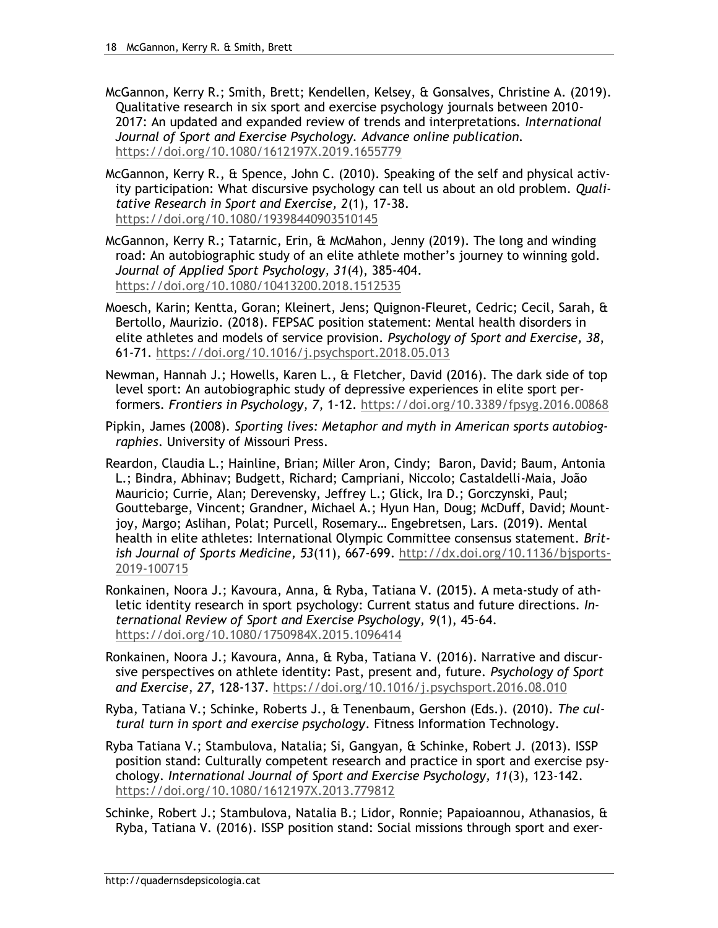- McGannon, Kerry R.; Smith, Brett; Kendellen, Kelsey, & Gonsalves, Christine A. (2019). Qualitative research in six sport and exercise psychology journals between 2010- 2017: An updated and expanded review of trends and interpretations. *International Journal of Sport and Exercise Psychology. Advance online publication.*  <https://doi.org/10.1080/1612197X.2019.1655779>
- McGannon, Kerry R., & Spence, John C. (2010). Speaking of the self and physical activity participation: What discursive psychology can tell us about an old problem. *Qualitative Research in Sport and Exercise, 2*(1), 17-38. <https://doi.org/10.1080/19398440903510145>
- McGannon, Kerry R.; Tatarnic, Erin, & McMahon, Jenny (2019). The long and winding road: An autobiographic study of an elite athlete mother's journey to winning gold. *Journal of Applied Sport Psychology, 31*(4), 385-404. <https://doi.org/10.1080/10413200.2018.1512535>
- Moesch, Karin; Kentta, Goran; Kleinert, Jens; Quignon-Fleuret, Cedric; Cecil, Sarah, & Bertollo, Maurizio. (2018). FEPSAC position statement: Mental health disorders in elite athletes and models of service provision. *Psychology of Sport and Exercise, 38*, 61-71.<https://doi.org/10.1016/j.psychsport.2018.05.013>
- Newman, Hannah J.; Howells, Karen L., & Fletcher, David (2016). The dark side of top level sport: An autobiographic study of depressive experiences in elite sport performers. *Frontiers in Psychology*, *7*, 1-12.<https://doi.org/10.3389/fpsyg.2016.00868>
- Pipkin, James (2008). *Sporting lives: Metaphor and myth in American sports autobiographies*. University of Missouri Press.
- Reardon, Claudia L.; Hainline, Brian; Miller Aron, Cindy; Baron, David; Baum, Antonia L.; Bindra, Abhinav; Budgett, Richard; Campriani, Niccolo; Castaldelli-Maia, João Mauricio; Currie, Alan; Derevensky, Jeffrey L.; Glick, Ira D.; Gorczynski, Paul; Gouttebarge, Vincent; Grandner, Michael A.; Hyun Han, Doug; McDuff, David; Mountjoy, Margo; Aslihan, Polat; Purcell, Rosemary… Engebretsen, Lars. (2019). Mental health in elite athletes: International Olympic Committee consensus statement. *British Journal of Sports Medicine, 53*(11), 667-699. [http://dx.doi.org/10.1136/bjsports-](http://dx.doi.org/10.1136/bjsports-2019-100715)[2019-100715](http://dx.doi.org/10.1136/bjsports-2019-100715)
- Ronkainen, Noora J.; Kavoura, Anna, & Ryba, Tatiana V. (2015). A meta-study of athletic identity research in sport psychology: Current status and future directions. *International Review of Sport and Exercise Psychology, 9*(1), 45-64. <https://doi.org/10.1080/1750984X.2015.1096414>
- Ronkainen, Noora J.; Kavoura, Anna, & Ryba, Tatiana V. (2016). Narrative and discursive perspectives on athlete identity: Past, present and, future. *Psychology of Sport and Exercise*, *27*, 128-137.<https://doi.org/10.1016/j.psychsport.2016.08.010>
- Ryba, Tatiana V.; Schinke, Roberts J., & Tenenbaum, Gershon (Eds.). (2010). *The cultural turn in sport and exercise psychology*. Fitness Information Technology.
- Ryba Tatiana V.; Stambulova, Natalia; Si, Gangyan, & Schinke, Robert J. (2013). ISSP position stand: Culturally competent research and practice in sport and exercise psychology. *International Journal of Sport and Exercise Psychology, 11*(3), 123-142. <https://doi.org/10.1080/1612197X.2013.779812>
- Schinke, Robert J.; Stambulova, Natalia B.; Lidor, Ronnie; Papaioannou, Athanasios, & Ryba, Tatiana V. (2016). ISSP position stand: Social missions through sport and exer-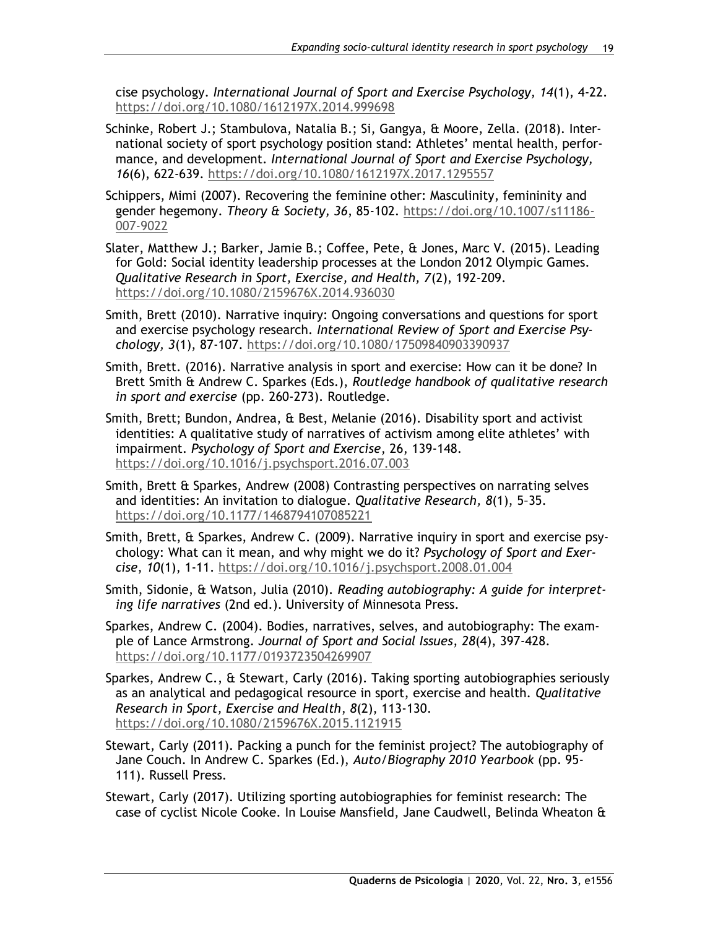cise psychology. *International Journal of Sport and Exercise Psychology, 14*(1), 4-22. <https://doi.org/10.1080/1612197X.2014.999698>

- Schinke, Robert J.; Stambulova, Natalia B.; Si, Gangya, & Moore, Zella. (2018). International society of sport psychology position stand: Athletes' mental health, performance, and development. *International Journal of Sport and Exercise Psychology, 16*(6), 622-639.<https://doi.org/10.1080/1612197X.2017.1295557>
- Schippers, Mimi (2007). Recovering the feminine other: Masculinity, femininity and gender hegemony. *Theory & Society, 36*, 85-102. [https://doi.org/10.1007/s11186-](https://doi.org/10.1007/s11186-007-9022) [007-9022](https://doi.org/10.1007/s11186-007-9022)
- Slater, Matthew J.; Barker, Jamie B.; Coffee, Pete, & Jones, Marc V. (2015). Leading for Gold: Social identity leadership processes at the London 2012 Olympic Games. *Qualitative Research in Sport, Exercise, and Health, 7*(2), 192-209. <https://doi.org/10.1080/2159676X.2014.936030>
- Smith, Brett (2010). Narrative inquiry: Ongoing conversations and questions for sport and exercise psychology research*. International Review of Sport and Exercise Psychology, 3*(1), 87-107.<https://doi.org/10.1080/17509840903390937>
- Smith, Brett. (2016). Narrative analysis in sport and exercise: How can it be done? In Brett Smith & Andrew C. Sparkes (Eds.), *Routledge handbook of qualitative research in sport and exercise* (pp. 260-273). Routledge.
- Smith, Brett; Bundon, Andrea, & Best, Melanie (2016). Disability sport and activist identities: A qualitative study of narratives of activism among elite athletes' with impairment. *Psychology of Sport and Exercise*, 26, 139-148. <https://doi.org/10.1016/j.psychsport.2016.07.003>
- Smith, Brett & Sparkes, Andrew (2008) Contrasting perspectives on narrating selves and identities: An invitation to dialogue. *Qualitative Research, 8*(1), 5–35. <https://doi.org/10.1177/1468794107085221>
- Smith, Brett, & Sparkes, Andrew C. (2009). Narrative inquiry in sport and exercise psychology: What can it mean, and why might we do it? *Psychology of Sport and Exercise*, *10*(1), 1-11.<https://doi.org/10.1016/j.psychsport.2008.01.004>
- Smith, Sidonie, & Watson, Julia (2010). *Reading autobiography: A guide for interpreting life narratives* (2nd ed.). University of Minnesota Press.
- Sparkes, Andrew C. (2004). Bodies, narratives, selves, and autobiography: The example of Lance Armstrong. *Journal of Sport and Social Issues*, *28*(4), 397-428. <https://doi.org/10.1177/0193723504269907>
- Sparkes, Andrew C., & Stewart, Carly (2016). Taking sporting autobiographies seriously as an analytical and pedagogical resource in sport, exercise and health. *Qualitative Research in Sport, Exercise and Health*, *8*(2), 113-130. <https://doi.org/10.1080/2159676X.2015.1121915>
- Stewart, Carly (2011). Packing a punch for the feminist project? The autobiography of Jane Couch. In Andrew C. Sparkes (Ed.), *Auto/Biography 2010 Yearbook* (pp. 95- 111). Russell Press.
- Stewart, Carly (2017). Utilizing sporting autobiographies for feminist research: The case of cyclist Nicole Cooke. In Louise Mansfield, Jane Caudwell, Belinda Wheaton &